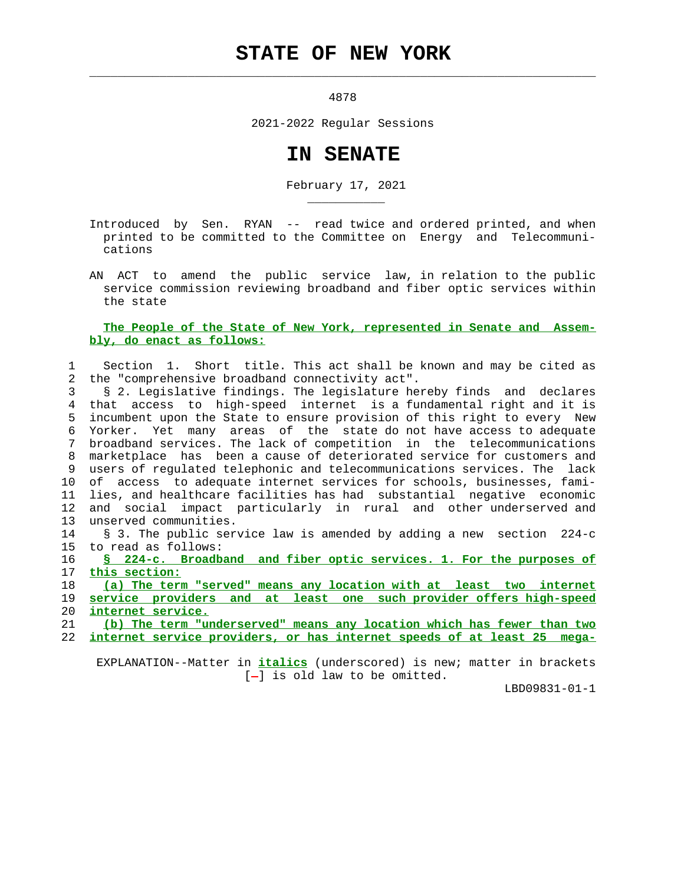## **STATE OF NEW YORK**

 $\mathcal{L}_\text{max} = \frac{1}{2} \sum_{i=1}^{n} \frac{1}{2} \sum_{i=1}^{n} \frac{1}{2} \sum_{i=1}^{n} \frac{1}{2} \sum_{i=1}^{n} \frac{1}{2} \sum_{i=1}^{n} \frac{1}{2} \sum_{i=1}^{n} \frac{1}{2} \sum_{i=1}^{n} \frac{1}{2} \sum_{i=1}^{n} \frac{1}{2} \sum_{i=1}^{n} \frac{1}{2} \sum_{i=1}^{n} \frac{1}{2} \sum_{i=1}^{n} \frac{1}{2} \sum_{i=1}^{n} \frac{1$ 

\_\_\_\_\_\_\_\_\_\_\_

4878

2021-2022 Regular Sessions

## **IN SENATE**

February 17, 2021

 Introduced by Sen. RYAN -- read twice and ordered printed, and when printed to be committed to the Committee on Energy and Telecommuni cations

 AN ACT to amend the public service law, in relation to the public service commission reviewing broadband and fiber optic services within the state

## **The People of the State of New York, represented in Senate and Assem bly, do enact as follows:**

 1 Section 1. Short title. This act shall be known and may be cited as 2 the "comprehensive broadband connectivity act".

 3 § 2. Legislative findings. The legislature hereby finds and declares 4 that access to high-speed internet is a fundamental right and it is 5 incumbent upon the State to ensure provision of this right to every New 6 Yorker. Yet many areas of the state do not have access to adequate 7 broadband services. The lack of competition in the telecommunications 8 marketplace has been a cause of deteriorated service for customers and 9 users of regulated telephonic and telecommunications services. The lack 10 of access to adequate internet services for schools, businesses, fami- 11 lies, and healthcare facilities has had substantial negative economic 12 and social impact particularly in rural and other underserved and 13 unserved communities.

 14 § 3. The public service law is amended by adding a new section 224-c 15 to read as follows:

 16 **§ 224-c. Broadband and fiber optic services. 1. For the purposes of** 17 **this section:**

18 **(a) The term "served" means any location with at least two internet**

 19 **service providers and at least one such provider offers high-speed** 20 **internet service.**

21 **(b) The term "underserved" means any location which has fewer than two**

22 **internet service providers, or has internet speeds of at least 25 mega-**

 EXPLANATION--Matter in **italics** (underscored) is new; matter in brackets  $[-]$  is old law to be omitted.

LBD09831-01-1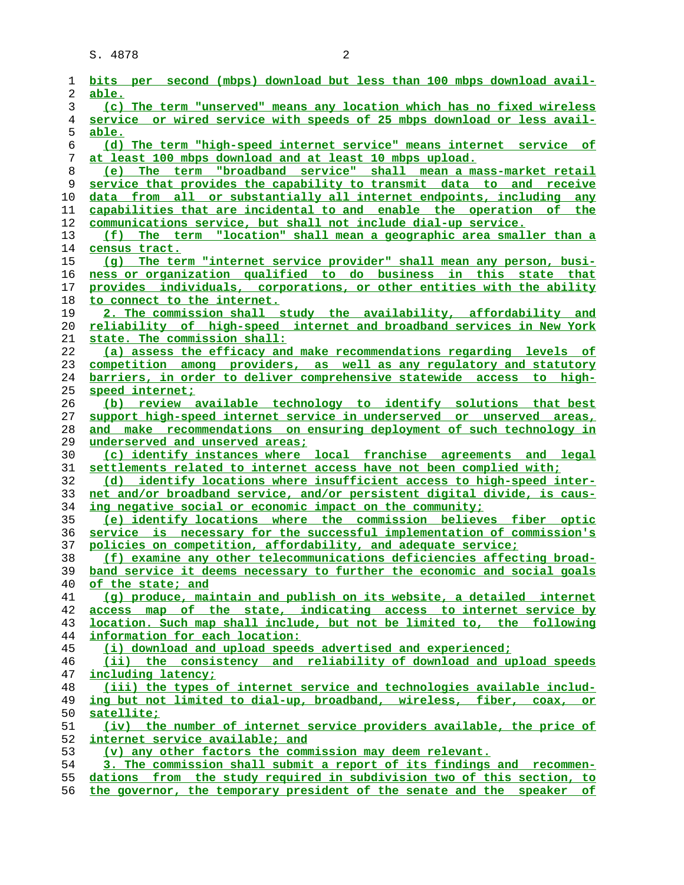S. 4878 2

| 1        | bits per second (mbps) download but less than 100 mbps download avail-                     |
|----------|--------------------------------------------------------------------------------------------|
| 2        | able.                                                                                      |
| 3        | (c) The term "unserved" means any location which has no fixed wireless                     |
| 4        | service or wired service with speeds of 25 mbps download or less avail-                    |
| 5        | able.                                                                                      |
| 6        | (d) The term "high-speed internet service" means internet service of                       |
| 7        | at least 100 mbps download and at least 10 mbps upload.                                    |
| 8        | (e) The term "broadband service" shall mean a mass-market retail                           |
| 9        | service that provides the capability to transmit data to and receive                       |
| 10       | data from all or substantially all internet endpoints, including any                       |
| 11       | capabilities that are incidental to and enable the operation of the                        |
| 12       | communications service, but shall not include dial-up service.                             |
| 13       | (f) The term "location" shall mean a geographic area smaller than a                        |
| 14       | census tract.                                                                              |
| 15       | (g) The term "internet service provider" shall mean any person, busi-                      |
| 16       | ness or organization qualified to do business in this state that                           |
| 17       | provides individuals, corporations, or other entities with the ability                     |
| 18       | to connect to the internet.                                                                |
| 19       | 2. The commission shall study the availability, affordability and                          |
| 20       | <u>reliability of high-speed internet and broadband services in New York</u>               |
| 21       | state. The commission shall:                                                               |
| 22       | (a) assess the efficacy and make recommendations regarding levels of                       |
| 23       | competition among providers, as well as any regulatory and statutory                       |
| 24       | barriers, in order to deliver comprehensive statewide access to high-                      |
| 25       | speed internet;                                                                            |
| 26       | (b) review available technology to identify solutions that best                            |
| 27       | support high-speed internet service in underserved or unserved areas,                      |
| 28       | and make recommendations on ensuring deployment of such technology in                      |
| 29       | underserved and unserved areas;                                                            |
| 30       | (c) identify instances where local franchise agreements and legal                          |
| 31       | settlements related to internet access have not been complied with;                        |
| 32       | (d) identify locations where insufficient access to high-speed inter-                      |
| 33       | net and/or broadband service, and/or persistent digital divide, is caus-                   |
| 34       | ing negative social or economic impact on the community;                                   |
| 35       | (e) identify locations where the commission believes fiber optic                           |
| 36       | service is necessary for the successful implementation of commission's                     |
| 37       | policies on competition, affordability, and adequate service;                              |
| 38       | (f) examine any other telecommunications deficiencies affecting broad-                     |
| 39       | band service it deems necessary to further the economic and social goals                   |
| 40       | of the state; and                                                                          |
| 41       | (q) produce, maintain and publish on its website, a detailed internet                      |
| 42       | access map of the state, indicating access to internet service by                          |
| 43       | location. Such map shall include, but not be limited to, the following                     |
| 44       | information for each location:                                                             |
| 45       | (i) download and upload speeds advertised and experienced;                                 |
| 46       | (ii) the consistency and reliability of download and upload speeds                         |
| 47       | including latency;                                                                         |
| 48       | (iii) the types of internet service and technologies available includ-                     |
| 49       | ing but not limited to dial-up, broadband, wireless, fiber, coax, or                       |
| 50       | satellite;                                                                                 |
| 51       | (iv) the number of internet service providers available, the price of                      |
| 52       | internet service available; and<br>(v) any other factors the commission may deem relevant. |
| 53       | 3. The commission shall submit a report of its findings and recommen-                      |
| 54       | dations from the study required in subdivision two of this section, to                     |
| 55<br>56 | the governor, the temporary president of the senate and the speaker of                     |
|          |                                                                                            |